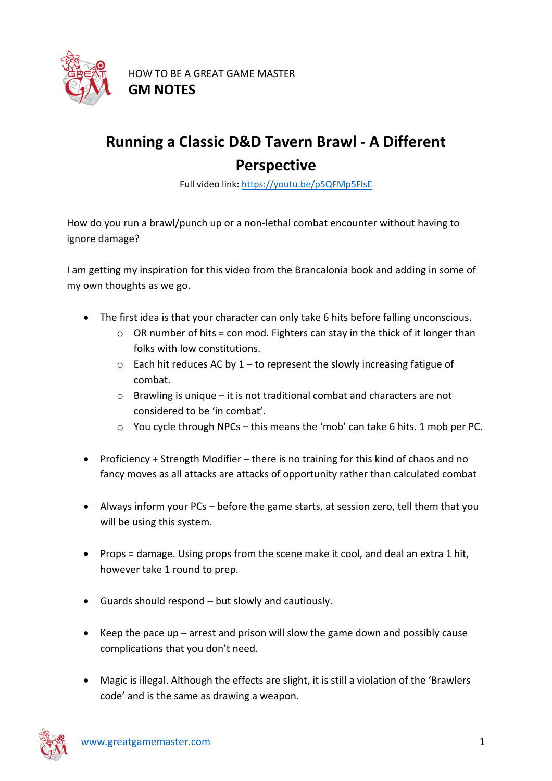

## **Running a Classic D&D Tavern Brawl - A Different Perspective**

Full video link: https://youtu.be/p5QFMp5FlsE

How do you run a brawl/punch up or a non-lethal combat encounter without having to ignore damage?

I am getting my inspiration for this video from the Brancalonia book and adding in some of my own thoughts as we go.

- The first idea is that your character can only take 6 hits before falling unconscious.
	- $\circ$  OR number of hits = con mod. Fighters can stay in the thick of it longer than folks with low constitutions.
	- $\circ$  Each hit reduces AC by 1 to represent the slowly increasing fatigue of combat.
	- o Brawling is unique it is not traditional combat and characters are not considered to be 'in combat'.
	- o You cycle through NPCs this means the 'mob' can take 6 hits. 1 mob per PC.
- Proficiency + Strength Modifier there is no training for this kind of chaos and no fancy moves as all attacks are attacks of opportunity rather than calculated combat
- Always inform your PCs before the game starts, at session zero, tell them that you will be using this system.
- Props = damage. Using props from the scene make it cool, and deal an extra 1 hit, however take 1 round to prep.
- Guards should respond but slowly and cautiously.
- Keep the pace up arrest and prison will slow the game down and possibly cause complications that you don't need.
- Magic is illegal. Although the effects are slight, it is still a violation of the 'Brawlers code' and is the same as drawing a weapon.